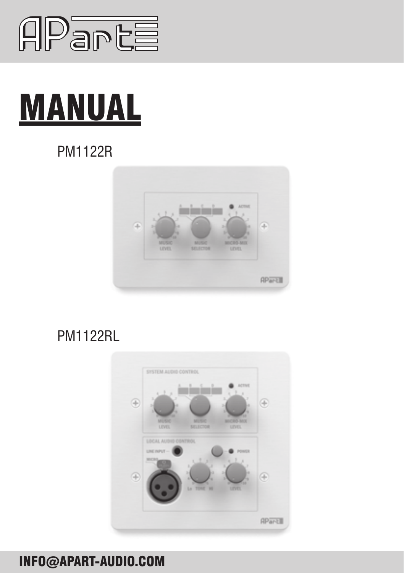

# MANUAL

# pm1122R



## pm1122RL



## INFO@APART-AUDIO.COM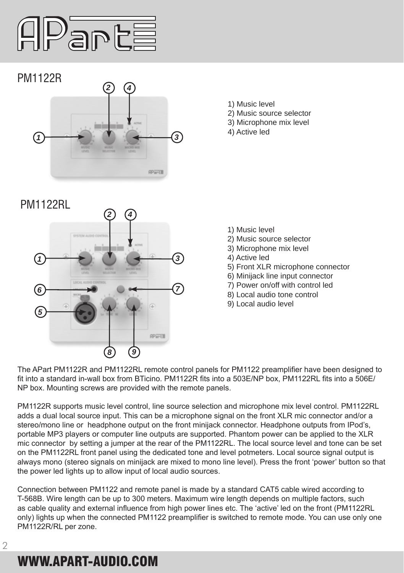

### pm1122R



- 1) Music level
- 2) Music source selector
- 3) Microphone mix level
- 4) Active led



- 1) Music level
- 2) Music source selector
- 3) Microphone mix level
- 4) Active led
- 5) Front XLR microphone connector
- 6) Minijack line input connector
- 7) Power on/off with control led
- 8) Local audio tone control
- 9) Local audio level

The APart PM1122R and PM1122RL remote control panels for PM1122 preamplifier have been designed to fit into a standard in-wall box from BTicino. PM1122R fits into a 503E/NP box, PM1122RL fits into a 506E/ NP box. Mounting screws are provided with the remote panels.

PM1122R supports music level control, line source selection and microphone mix level control. PM1122RL adds a dual local source input. This can be a microphone signal on the front XLR mic connector and/or a stereo/mono line or headphone output on the front minijack connector. Headphone outputs from IPod's, portable MP3 players or computer line outputs are supported. Phantom power can be applied to the XLR mic connector by setting a jumper at the rear of the PM1122RL. The local source level and tone can be set on the PM1122RL front panel using the dedicated tone and level potmeters. Local source signal output is always mono (stereo signals on minijack are mixed to mono line level). Press the front 'power' button so that the power led lights up to allow input of local audio sources.

Connection between PM1122 and remote panel is made by a standard CAT5 cable wired according to T-568B. Wire length can be up to 300 meters. Maximum wire length depends on multiple factors, such as cable quality and external influence from high power lines etc. The 'active' led on the front (PM1122RL only) lights up when the connected PM1122 preamplifier is switched to remote mode. You can use only one PM1122R/RL per zone.

# WWW.APART-AUDIO.COM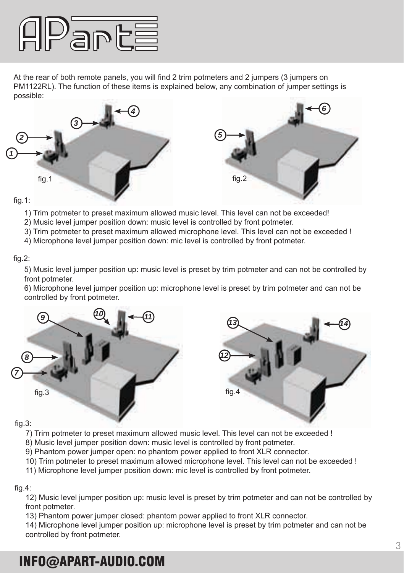

At the rear of both remote panels, you will find 2 trim potmeters and 2 jumpers (3 jumpers on PM1122RL). The function of these items is explained below, any combination of jumper settings is possible:



#### fig.1:

- 1) Trim potmeter to preset maximum allowed music level. This level can not be exceeded!
- 2) Music level jumper position down: music level is controlled by front potmeter.
- 3) Trim potmeter to preset maximum allowed microphone level. This level can not be exceeded !
- 4) Microphone level jumper position down: mic level is controlled by front potmeter.

#### fig.2:

5) Music level jumper position up: music level is preset by trim potmeter and can not be controlled by front potmeter.

6) Microphone level jumper position up: microphone level is preset by trim potmeter and can not be controlled by front potmeter.



#### fig.3:

- 7) Trim potmeter to preset maximum allowed music level. This level can not be exceeded !
- 8) Music level jumper position down: music level is controlled by front potmeter.
- 9) Phantom power jumper open: no phantom power applied to front XLR connector.
- 10) Trim potmeter to preset maximum allowed microphone level. This level can not be exceeded !
- 11) Microphone level jumper position down: mic level is controlled by front potmeter.

#### fig.4:

12) Music level jumper position up: music level is preset by trim potmeter and can not be controlled by front potmeter.

13) Phantom power jumper closed: phantom power applied to front XLR connector.

14) Microphone level jumper position up: microphone level is preset by trim potmeter and can not be controlled by front potmeter.

## INFO@APART-AUDIO.COM